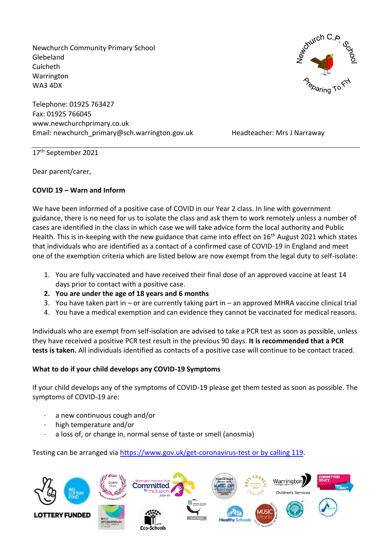Newchurch Community Primary School Glebeland Culcheth Warrington WA3 4DX

Telephone: 01925 763427 Fax: 01925 766045 www.newchurchprimary.co.uk Email: newchurch\_primary@sch.warrington.gov.uk Headteacher: Mrs J Narraway



17 th September 2021

Dear parent/carer,

## **COVID 19 – Warn and Inform**

We have been informed of a positive case of COVID in our Year 2 class. In line with government guidance, there is no need for us to isolate the class and ask them to work remotely unless a number of cases are identified in the class in which case we will take advice form the local authority and Public Health. This is in-keeping with the new guidance that came into effect on 16<sup>th</sup> August 2021 which states that individuals who are identified as a contact of a confirmed case of COVID-19 in England and meet one of the exemption criteria which are listed below are now exempt from the legal duty to self-isolate:

- 1. You are fully vaccinated and have received their final dose of an approved vaccine at least 14 days prior to contact with a positive case.
- **2. You are under the age of 18 years and 6 months**
- 3. You have taken part in or are currently taking part in an approved MHRA vaccine clinical trial
- 4. You have a medical exemption and can evidence they cannot be vaccinated for medical reasons.

Individuals who are exempt from self-isolation are advised to take a PCR test as soon as possible, unless they have received a positive PCR test result in the previous 90 days. **It is recommended that a PCR tests is taken.** All individuals identified as contacts of a positive case will continue to be contact traced.

# **What to do if your child develops any COVID-19 Symptoms**

If your child develops any of the symptoms of COVID-19 please get them tested as soon as possible. The symptoms of COVID-19 are:

- a new continuous cough and/or
- high temperature and/or
- a loss of, or change in, normal sense of taste or smell (anosmia)

Testing can be arranged via [https://www.gov.uk/get-coronavirus-test or by calling 119.](https://www.gov.uk/get-coronavirus-test%20or%20by%20calling%20119)